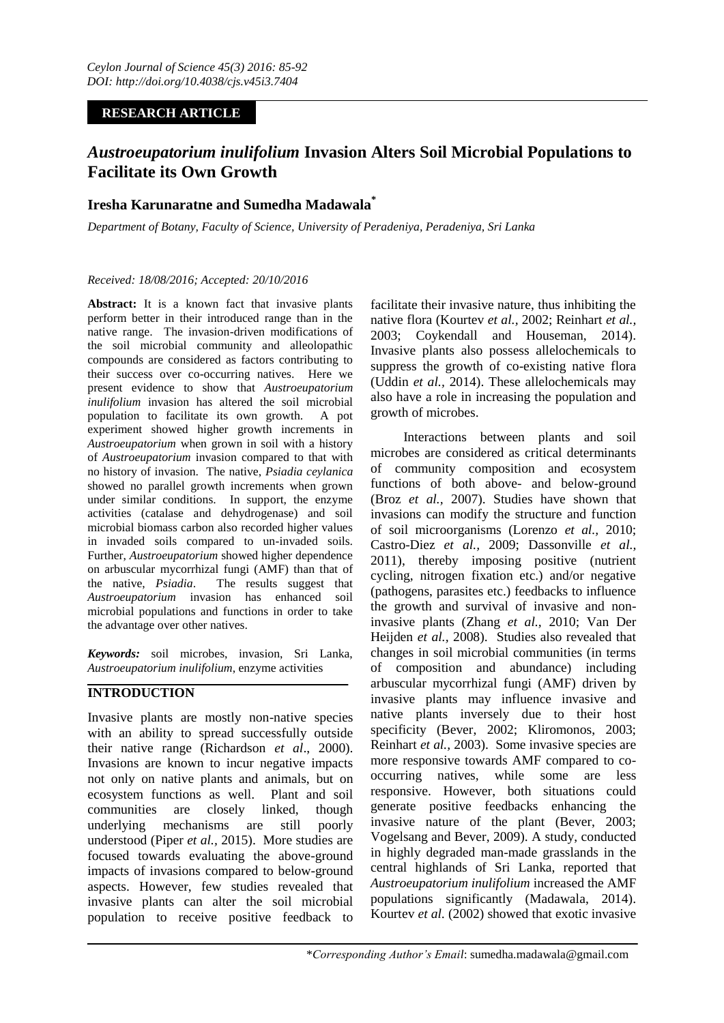# **RESEARCH ARTICLE**

# *Austroeupatorium inulifolium* **Invasion Alters Soil Microbial Populations to Facilitate its Own Growth**

# **Iresha Karunaratne and Sumedha Madawala\***

*Department of Botany, Faculty of Science, University of Peradeniya, Peradeniya, Sri Lanka*

### *Received: 18/08/2016; Accepted: 20/10/2016*

Abstract: It is a known fact that invasive plants perform better in their introduced range than in the native range. The invasion-driven modifications of the soil microbial community and alleolopathic compounds are considered as factors contributing to their success over co-occurring natives. Here we present evidence to show that *Austroeupatorium inulifolium* invasion has altered the soil microbial population to facilitate its own growth. A pot experiment showed higher growth increments in *Austroeupatorium* when grown in soil with a history of *Austroeupatorium* invasion compared to that with no history of invasion. The native, *Psiadia ceylanica* showed no parallel growth increments when grown under similar conditions. In support, the enzyme activities (catalase and dehydrogenase) and soil microbial biomass carbon also recorded higher values in invaded soils compared to un-invaded soils. Further, *Austroeupatorium* showed higher dependence on arbuscular mycorrhizal fungi (AMF) than that of the native, *Psiadia*. The results suggest that *Austroeupatorium* invasion has enhanced soil microbial populations and functions in order to take the advantage over other natives.

*Keywords:* soil microbes, invasion, Sri Lanka, *Austroeupatorium inulifolium*, enzyme activities

# **INTRODUCTION**

Invasive plants are mostly non-native species with an ability to spread successfully outside their native range (Richardson *et al*., 2000). Invasions are known to incur negative impacts not only on native plants and animals, but on ecosystem functions as well. Plant and soil communities are closely linked, though underlying mechanisms are still poorly understood (Piper *et al.,* 2015). More studies are focused towards evaluating the above-ground impacts of invasions compared to below-ground aspects. However, few studies revealed that invasive plants can alter the soil microbial population to receive positive feedback to

facilitate their invasive nature, thus inhibiting the native flora (Kourtev *et al.,* 2002; Reinhart *et al.,* 2003; Coykendall and Houseman, 2014). Invasive plants also possess allelochemicals to suppress the growth of co-existing native flora (Uddin *et al.,* 2014). These allelochemicals may also have a role in increasing the population and growth of microbes.

Interactions between plants and soil microbes are considered as critical determinants of community composition and ecosystem functions of both above- and below-ground (Broz *et al.,* 2007). Studies have shown that invasions can modify the structure and function of soil microorganisms (Lorenzo *et al.,* 2010; Castro-Diez *et al.,* 2009; Dassonville *et al.,* 2011), thereby imposing positive (nutrient cycling, nitrogen fixation etc.) and/or negative (pathogens, parasites etc.) feedbacks to influence the growth and survival of invasive and noninvasive plants (Zhang *et al.,* 2010; Van Der Heijden *et al.,* 2008). Studies also revealed that changes in soil microbial communities (in terms of composition and abundance) including arbuscular mycorrhizal fungi (AMF) driven by invasive plants may influence invasive and native plants inversely due to their host specificity (Bever, 2002; Kliromonos, 2003; Reinhart *et al.,* 2003). Some invasive species are more responsive towards AMF compared to cooccurring natives, while some are less responsive. However, both situations could generate positive feedbacks enhancing the invasive nature of the plant (Bever, 2003; Vogelsang and Bever, 2009). A study, conducted in highly degraded man-made grasslands in the central highlands of Sri Lanka, reported that *Austroeupatorium inulifolium* increased the AMF populations significantly (Madawala, 2014). Kourtev *et al.* (2002) showed that exotic invasive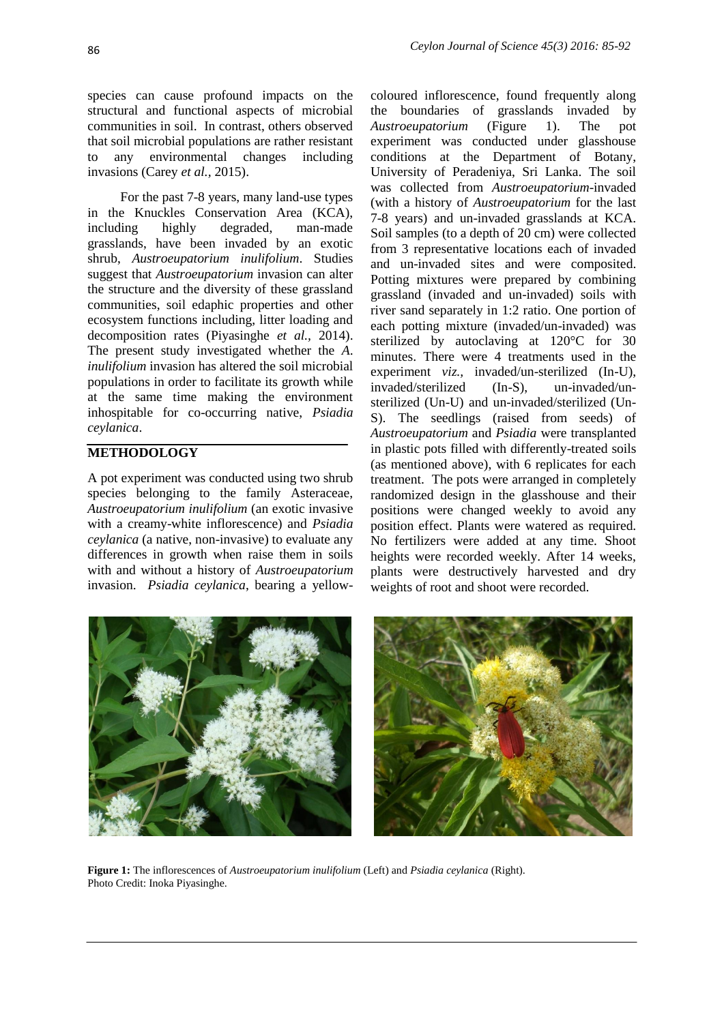species can cause profound impacts on the structural and functional aspects of microbial communities in soil. In contrast, others observed that soil microbial populations are rather resistant to any environmental changes including invasions (Carey *et al.,* 2015).

For the past 7-8 years, many land-use types in the Knuckles Conservation Area (KCA), including highly degraded, man-made grasslands, have been invaded by an exotic shrub, *Austroeupatorium inulifolium*. Studies suggest that *Austroeupatorium* invasion can alter the structure and the diversity of these grassland communities, soil edaphic properties and other ecosystem functions including, litter loading and decomposition rates (Piyasinghe *et al.,* 2014). The present study investigated whether the *A*. *inulifolium* invasion has altered the soil microbial populations in order to facilitate its growth while at the same time making the environment inhospitable for co-occurring native, *Psiadia ceylanica*.

# **METHODOLOGY**

A pot experiment was conducted using two shrub species belonging to the family Asteraceae, *Austroeupatorium inulifolium* (an exotic invasive with a creamy-white inflorescence) and *Psiadia ceylanica* (a native, non-invasive) to evaluate any differences in growth when raise them in soils with and without a history of *Austroeupatorium* invasion. *Psiadia ceylanica*, bearing a yellowcoloured inflorescence, found frequently along the boundaries of grasslands invaded by *Austroeupatorium* (Figure 1). The pot experiment was conducted under glasshouse conditions at the Department of Botany, University of Peradeniya, Sri Lanka. The soil was collected from *Austroeupatorium*-invaded (with a history of *Austroeupatorium* for the last 7-8 years) and un-invaded grasslands at KCA. Soil samples (to a depth of 20 cm) were collected from 3 representative locations each of invaded and un-invaded sites and were composited. Potting mixtures were prepared by combining grassland (invaded and un-invaded) soils with river sand separately in 1:2 ratio. One portion of each potting mixture (invaded/un-invaded) was sterilized by autoclaving at 120°C for 30 minutes. There were 4 treatments used in the experiment *viz.,* invaded/un-sterilized (In-U), invaded/sterilized (In-S), un-invaded/unsterilized (Un-U) and un-invaded/sterilized (Un-S). The seedlings (raised from seeds) of *Austroeupatorium* and *Psiadia* were transplanted in plastic pots filled with differently-treated soils (as mentioned above), with 6 replicates for each treatment. The pots were arranged in completely randomized design in the glasshouse and their positions were changed weekly to avoid any position effect. Plants were watered as required. No fertilizers were added at any time. Shoot heights were recorded weekly. After 14 weeks, plants were destructively harvested and dry weights of root and shoot were recorded.



**Figure 1:** The inflorescences of *Austroeupatorium inulifolium* (Left) and *Psiadia ceylanica* (Right). Photo Credit: Inoka Piyasinghe.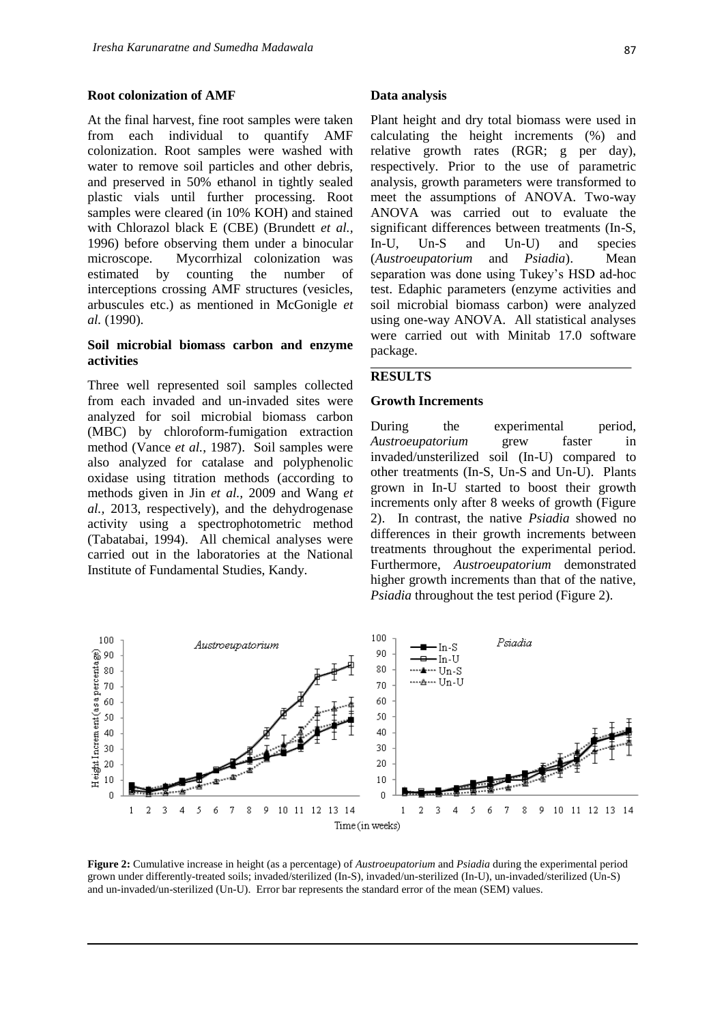#### **Root colonization of AMF**

At the final harvest, fine root samples were taken from each individual to quantify AMF colonization. Root samples were washed with water to remove soil particles and other debris, and preserved in 50% ethanol in tightly sealed plastic vials until further processing. Root samples were cleared (in 10% KOH) and stained with Chlorazol black E (CBE) (Brundett *et al.,* 1996) before observing them under a binocular microscope. Mycorrhizal colonization was estimated by counting the number of interceptions crossing AMF structures (vesicles, arbuscules etc.) as mentioned in McGonigle *et al.* (1990).

### **Soil microbial biomass carbon and enzyme activities**

Three well represented soil samples collected from each invaded and un-invaded sites were analyzed for soil microbial biomass carbon (MBC) by chloroform-fumigation extraction method (Vance *et al.*, 1987). Soil samples were also analyzed for catalase and polyphenolic oxidase using titration methods (according to methods given in Jin *et al.,* 2009 and Wang *et al.,* 2013, respectively), and the dehydrogenase activity using a spectrophotometric method (Tabatabai, 1994). All chemical analyses were carried out in the laboratories at the National Institute of Fundamental Studies, Kandy.

### **Data analysis**

Plant height and dry total biomass were used in calculating the height increments (%) and relative growth rates (RGR; g per day), respectively. Prior to the use of parametric analysis, growth parameters were transformed to meet the assumptions of ANOVA. Two-way ANOVA was carried out to evaluate the significant differences between treatments (In-S, In-U, Un-S and Un-U) and species (*Austroeupatorium* and *Psiadia*). Mean separation was done using Tukey's HSD ad-hoc test. Edaphic parameters (enzyme activities and soil microbial biomass carbon) were analyzed using one-way ANOVA. All statistical analyses were carried out with Minitab 17.0 software package.

### **RESULTS**

#### **Growth Increments**

During the experimental period, *Austroeupatorium* grew faster in invaded/unsterilized soil (In-U) compared to other treatments (In-S, Un-S and Un-U). Plants grown in In-U started to boost their growth increments only after 8 weeks of growth (Figure 2). In contrast, the native *Psiadia* showed no differences in their growth increments between treatments throughout the experimental period. Furthermore, *Austroeupatorium* demonstrated higher growth increments than that of the native, *Psiadia* throughout the test period (Figure 2).



**Figure 2:** Cumulative increase in height (as a percentage) of *Austroeupatorium* and *Psiadia* during the experimental period grown under differently-treated soils; invaded/sterilized (In-S), invaded/un-sterilized (In-U), un-invaded/sterilized (Un-S) and un-invaded/un-sterilized (Un-U). Error bar represents the standard error of the mean (SEM) values.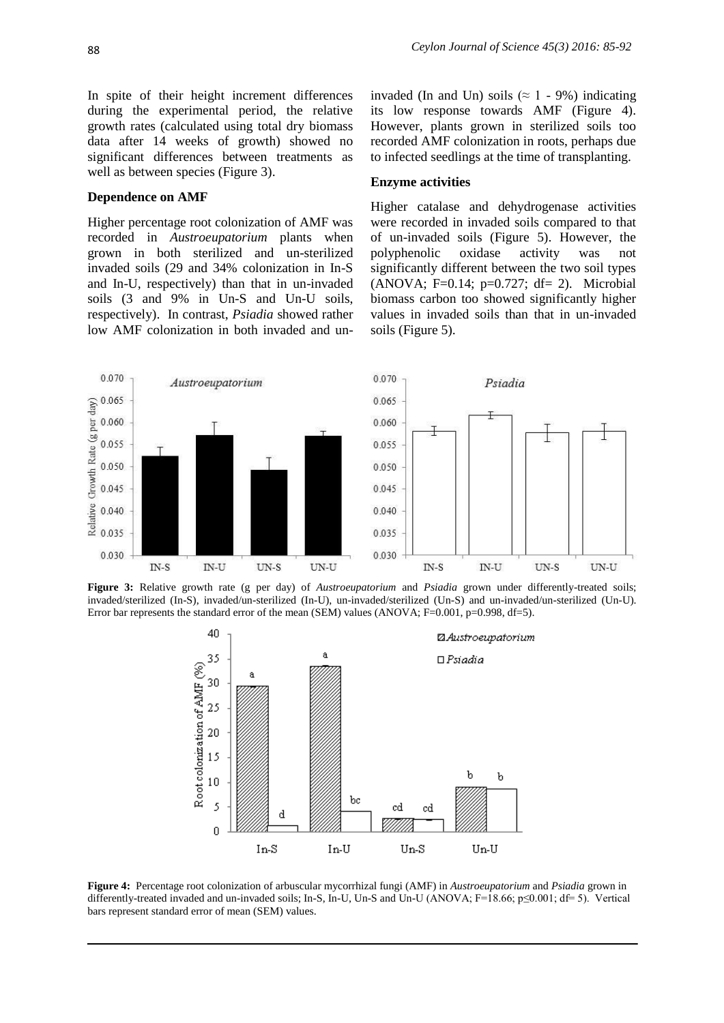In spite of their height increment differences during the experimental period, the relative growth rates (calculated using total dry biomass data after 14 weeks of growth) showed no significant differences between treatments as well as between species (Figure 3).

#### **Dependence on AMF**

Higher percentage root colonization of AMF was recorded in *Austroeupatorium* plants when grown in both sterilized and un-sterilized invaded soils (29 and 34% colonization in In-S and In-U, respectively) than that in un-invaded soils (3 and 9% in Un-S and Un-U soils, respectively). In contrast, *Psiadia* showed rather low AMF colonization in both invaded and uninvaded (In and Un) soils ( $\approx$  1 - 9%) indicating its low response towards AMF (Figure 4). However, plants grown in sterilized soils too recorded AMF colonization in roots, perhaps due to infected seedlings at the time of transplanting.

#### **Enzyme activities**

Higher catalase and dehydrogenase activities were recorded in invaded soils compared to that of un-invaded soils (Figure 5). However, the polyphenolic oxidase activity was not significantly different between the two soil types  $(ANOVA; F=0.14; p=0.727; df= 2)$ . Microbial biomass carbon too showed significantly higher values in invaded soils than that in un-invaded soils (Figure 5).



**Figure 3:** Relative growth rate (g per day) of *Austroeupatorium* and *Psiadia* grown under differently-treated soils; invaded/sterilized (In-S), invaded/un-sterilized (In-U), un-invaded/sterilized (Un-S) and un-invaded/un-sterilized (Un-U). Error bar represents the standard error of the mean (SEM) values (ANOVA; F=0.001, p=0.998, df=5).



**Figure 4:** Percentage root colonization of arbuscular mycorrhizal fungi (AMF) in *Austroeupatorium* and *Psiadia* grown in differently-treated invaded and un-invaded soils; In-S, In-U, Un-S and Un-U (ANOVA; F=18.66; p≤0.001; df= 5). Vertical bars represent standard error of mean (SEM) values.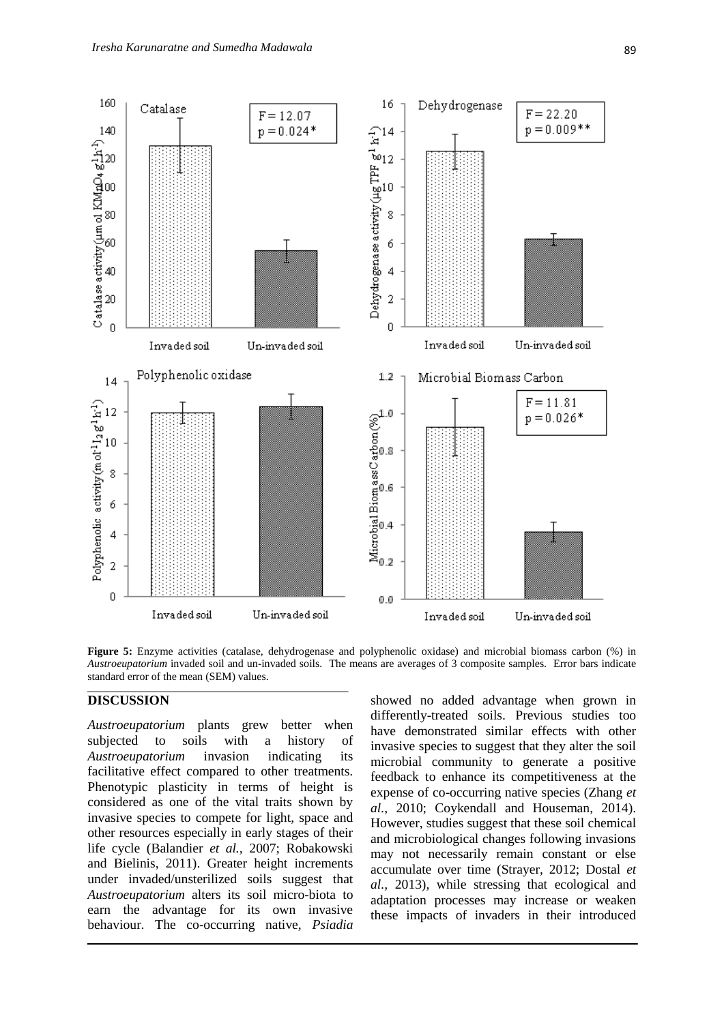

**Figure 5:** Enzyme activities (catalase, dehydrogenase and polyphenolic oxidase) and microbial biomass carbon (%) in *Austroeupatorium* invaded soil and un-invaded soils. The means are averages of 3 composite samples. Error bars indicate standard error of the mean (SEM) values.

# **DISCUSSION**

*Austroeupatorium* plants grew better when subjected to soils with a history of *Austroeupatorium* invasion indicating its facilitative effect compared to other treatments. Phenotypic plasticity in terms of height is considered as one of the vital traits shown by invasive species to compete for light, space and other resources especially in early stages of their life cycle (Balandier *et al.,* 2007; Robakowski and Bielinis, 2011). Greater height increments under invaded/unsterilized soils suggest that *Austroeupatorium* alters its soil micro-biota to earn the advantage for its own invasive behaviour. The co-occurring native, *Psiadia*

showed no added advantage when grown in differently-treated soils. Previous studies too have demonstrated similar effects with other invasive species to suggest that they alter the soil microbial community to generate a positive feedback to enhance its competitiveness at the expense of co-occurring native species (Zhang *et al.*, 2010; Coykendall and Houseman, 2014). However, studies suggest that these soil chemical and microbiological changes following invasions may not necessarily remain constant or else accumulate over time (Strayer, 2012; Dostal *et al.,* 2013), while stressing that ecological and adaptation processes may increase or weaken these impacts of invaders in their introduced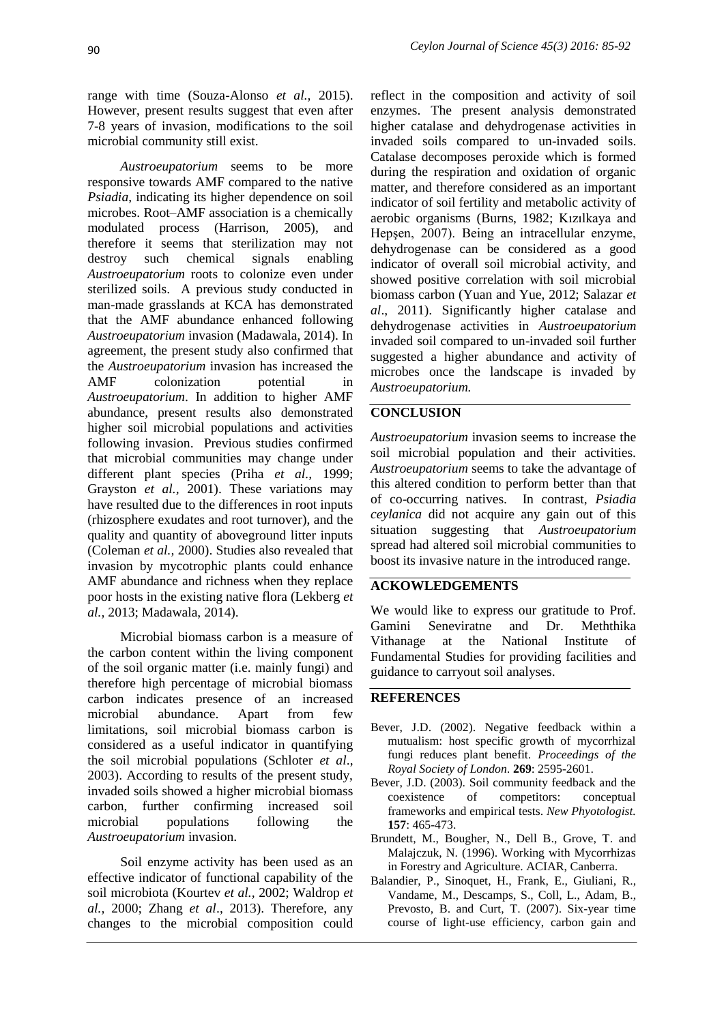range with time (Souza-Alonso *et al.,* 2015). However, present results suggest that even after 7-8 years of invasion, modifications to the soil microbial community still exist.

*Austroeupatorium* seems to be more responsive towards AMF compared to the native *Psiadia*, indicating its higher dependence on soil microbes. Root–AMF association is a chemically modulated process (Harrison, 2005), and therefore it seems that sterilization may not destroy such chemical signals enabling *Austroeupatorium* roots to colonize even under sterilized soils. A previous study conducted in man-made grasslands at KCA has demonstrated that the AMF abundance enhanced following *Austroeupatorium* invasion (Madawala, 2014). In agreement, the present study also confirmed that the *Austroeupatorium* invasion has increased the AMF colonization potential in *Austroeupatorium*. In addition to higher AMF abundance, present results also demonstrated higher soil microbial populations and activities following invasion. Previous studies confirmed that microbial communities may change under different plant species (Priha *et al.,* 1999; Grayston *et al.,* 2001). These variations may have resulted due to the differences in root inputs (rhizosphere exudates and root turnover), and the quality and quantity of aboveground litter inputs (Coleman *et al.,* 2000). Studies also revealed that invasion by mycotrophic plants could enhance AMF abundance and richness when they replace poor hosts in the existing native flora (Lekberg *et al.,* 2013; Madawala, 2014).

Microbial biomass carbon is a measure of the carbon content within the living component of the soil organic matter (i.e. mainly fungi) and therefore high percentage of microbial biomass carbon indicates presence of an increased microbial abundance. Apart from few limitations, soil microbial biomass carbon is considered as a useful indicator in quantifying the soil microbial populations (Schloter *et al*., 2003). According to results of the present study, invaded soils showed a higher microbial biomass carbon, further confirming increased soil microbial populations following the *Austroeupatorium* invasion.

Soil enzyme activity has been used as an effective indicator of functional capability of the soil microbiota (Kourtev *et al.,* 2002; Waldrop *et al.,* 2000; Zhang *et al*., 2013). Therefore, any changes to the microbial composition could reflect in the composition and activity of soil enzymes. The present analysis demonstrated higher catalase and dehydrogenase activities in invaded soils compared to un-invaded soils. Catalase decomposes peroxide which is formed during the respiration and oxidation of organic matter, and therefore considered as an important indicator of soil fertility and metabolic activity of aerobic organisms (Burns, 1982; Kızılkaya and Hepşen, 2007). Being an intracellular enzyme, dehydrogenase can be considered as a good indicator of overall soil microbial activity, and showed positive correlation with soil microbial biomass carbon (Yuan and Yue, 2012; Salazar *et al*., 2011). Significantly higher catalase and dehydrogenase activities in *Austroeupatorium*  invaded soil compared to un-invaded soil further suggested a higher abundance and activity of microbes once the landscape is invaded by *Austroeupatorium.* 

# **CONCLUSION**

*Austroeupatorium* invasion seems to increase the soil microbial population and their activities. *Austroeupatorium* seems to take the advantage of this altered condition to perform better than that of co-occurring natives. In contrast, *Psiadia ceylanica* did not acquire any gain out of this situation suggesting that *Austroeupatorium* spread had altered soil microbial communities to boost its invasive nature in the introduced range.

### **ACKOWLEDGEMENTS**

We would like to express our gratitude to Prof. Gamini Seneviratne and Dr. Meththika Vithanage at the National Institute of Fundamental Studies for providing facilities and guidance to carryout soil analyses.

# **REFERENCES**

- Bever, J.D. (2002). Negative feedback within a mutualism: host specific growth of mycorrhizal fungi reduces plant benefit. *Proceedings of the Royal Society of London.* **269**: 2595-2601.
- Bever, J.D. (2003). Soil community feedback and the coexistence of competitors: conceptual frameworks and empirical tests. *New Phyotologist.* **157**: 465-473.
- Brundett, M., Bougher, N., Dell B., Grove, T. and Malajczuk, N. (1996). Working with Mycorrhizas in Forestry and Agriculture. ACIAR, Canberra.
- Balandier, P., Sinoquet, H., Frank, E., Giuliani, R., Vandame, M., Descamps, S., Coll, L., Adam, B., Prevosto, B. and Curt, T. (2007). Six-year time course of light-use efficiency, carbon gain and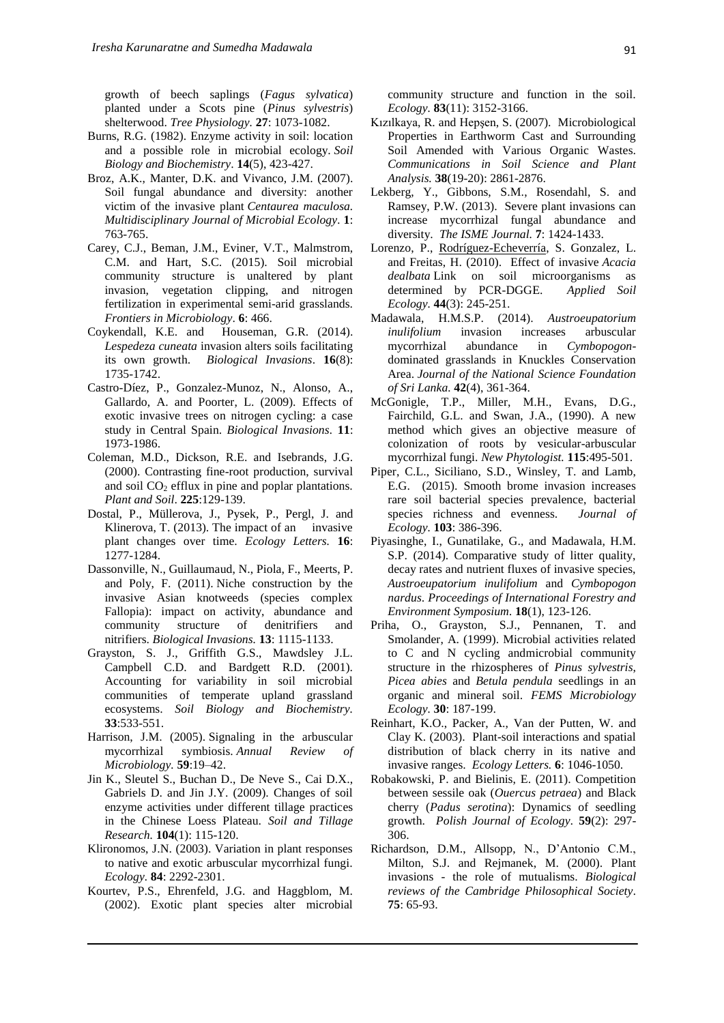growth of beech saplings (*Fagus sylvatica*) planted under a Scots pine (*Pinus sylvestris*) shelterwood. *Tree Physiology.* **27**: 1073-1082.

- Burns, R.G. (1982). Enzyme activity in soil: location and a possible role in microbial ecology. *Soil Biology and Biochemistry*. **14**(5), 423-427.
- Broz, A.K., Manter, D.K. and Vivanco, J.M. (2007). Soil fungal abundance and diversity: another victim of the invasive plant *Centaurea maculosa. Multidisciplinary Journal of Microbial Ecology.* **1**: 763-765.
- Carey, C.J., Beman, J.M., Eviner, V.T., Malmstrom, C.M. and Hart, S.C. (2015). Soil microbial community structure is unaltered by plant invasion, vegetation clipping, and nitrogen fertilization in experimental semi-arid grasslands. *Frontiers in Microbiology*. **6**: 466.
- Coykendall, K.E. and Houseman, G.R. (2014). *Lespedeza cuneata* invasion alters soils facilitating its own growth. *Biological Invasions*. **16**(8): 1735-1742.
- Castro-Díez, P., Gonzalez-Munoz, N., Alonso, A., Gallardo, A. and Poorter, L. (2009). Effects of exotic invasive trees on nitrogen cycling: a case study in Central Spain. *Biological Invasions.* **11**: 1973-1986.
- Coleman, M.D., Dickson, R.E. and Isebrands, J.G. (2000). Contrasting fine-root production, survival and soil  $CO<sub>2</sub>$  efflux in pine and poplar plantations. *Plant and Soil*. **225**:129-139.
- Dostal, P., Müllerova, J., Pysek, P., Pergl, J. and Klinerova, T. (2013). The impact of an invasive plant changes over time. *Ecology Letters.* **16**: 1277-1284.
- Dassonville, N., Guillaumaud, N., Piola, F., Meerts, P. and Poly, F. (2011). Niche construction by the invasive Asian knotweeds (species complex Fallopia): impact on activity, abundance and community structure of denitrifiers and nitrifiers. *Biological Invasions.* **13**: 1115-1133.
- Grayston, S. J., Griffith G.S., Mawdsley J.L. Campbell C.D. and Bardgett R.D. (2001). Accounting for variability in soil microbial communities of temperate upland grassland ecosystems. *Soil Biology and Biochemistry.* **33**:533-551.
- Harrison, J.M. (2005). Signaling in the arbuscular mycorrhizal symbiosis. *Annual Review of Microbiology.* **59**:19–42.
- Jin K., Sleutel S., Buchan D., De Neve S., Cai D.X., Gabriels D. and Jin J.Y. (2009). Changes of soil enzyme activities under different tillage practices in the Chinese Loess Plateau. *Soil and Tillage Research.* **104**(1): 115-120.
- Klironomos, J.N. (2003). Variation in plant responses to native and exotic arbuscular mycorrhizal fungi. *Ecology.* **84**: 2292-2301.
- Kourtev, P.S., Ehrenfeld, J.G. and Haggblom, M. (2002). Exotic plant species alter microbial

community structure and function in the soil. *Ecology.* **83**(11): 3152-3166.

- Kızılkaya, R. and Hepşen, S. (2007). Microbiological Properties in Earthworm Cast and Surrounding Soil Amended with Various Organic Wastes. *Communications in Soil Science and Plant Analysis.* **38**(19-20): 2861-2876.
- Lekberg, Y., Gibbons, S.M., Rosendahl, S. and Ramsey, P.W. (2013). Severe plant invasions can increase mycorrhizal fungal abundance and diversity. *The ISME Journal.* **7**: 1424-1433.
- Lorenzo, P., [Rodríguez-Echeverría,](http://www.sciencedirect.com/science/article/pii/S0929139310000065) S. Gonzalez, L. and Freitas, H. (2010). Effect of invasive *Acacia dealbata* Link on soil microorganisms as determined by PCR-DGGE. *Applied Soil Ecology.* **44**(3): 245-251.
- Madawala, H.M.S.P. (2014). *Austroeupatorium inulifolium* invasion increases arbuscular mycorrhizal abundance in *Cymbopogon*dominated grasslands in Knuckles Conservation Area. *Journal of the National Science Foundation of Sri Lanka.* **42**(4), 361-364.
- McGonigle, T.P., Miller, M.H., Evans, D.G., Fairchild, G.L. and Swan, J.A., (1990). A new method which gives an objective measure of colonization of roots by vesicular-arbuscular mycorrhizal fungi. *New Phytologist.* **115**:495-501.
- Piper, C.L., Siciliano, S.D., Winsley, T. and Lamb, E.G. (2015). Smooth brome invasion increases rare soil bacterial species prevalence, bacterial species richness and evenness. *Journal of Ecology.* **103**: 386-396.
- Piyasinghe, I., Gunatilake, G., and Madawala, H.M. S.P. (2014). Comparative study of litter quality, decay rates and nutrient fluxes of invasive species, *Austroeupatorium inulifolium* and *Cymbopogon nardus*. *Proceedings of International Forestry and Environment Symposium.* **18**(1), 123-126.
- Priha, O., Grayston, S.J., Pennanen, T. and Smolander, A. (1999). Microbial activities related to C and N cycling andmicrobial community structure in the rhizospheres of *Pinus sylvestris*, *Picea abies* and *Betula pendula* seedlings in an organic and mineral soil. *FEMS Microbiology Ecology.* **30**: 187-199.
- Reinhart, K.O., Packer, A., Van der Putten, W. and Clay K. (2003). Plant-soil interactions and spatial distribution of black cherry in its native and invasive ranges. *Ecology Letters.* **6**: 1046-1050.
- Robakowski, P. and Bielinis, E. (2011). Competition between sessile oak (*Ouercus petraea*) and Black cherry (*Padus serotina*): Dynamics of seedling growth. *Polish Journal of Ecology.* **59**(2): 297- 306.
- Richardson, D.M., Allsopp, N., D'Antonio C.M., Milton, S.J. and Rejmanek, M. (2000). Plant invasions - the role of mutualisms. *Biological reviews of the Cambridge Philosophical Society.* **75**: 65-93.